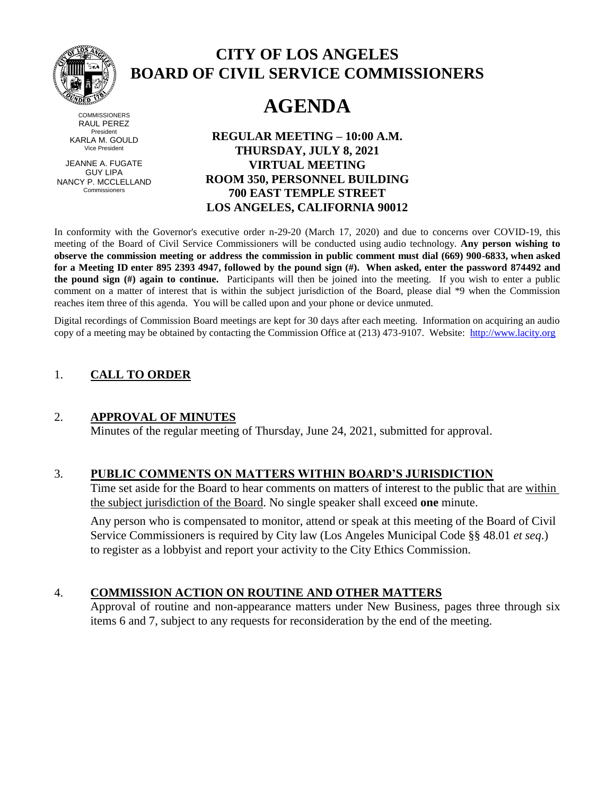

#### **COMMISSIONERS** RAUL PEREZ President KARLA M. GOULD Vice President

JEANNE A. FUGATE GUY LIPA NANCY P. MCCLELLAND Commissioners

# **CITY OF LOS ANGELES BOARD OF CIVIL SERVICE COMMISSIONERS**

# **AGENDA**

**REGULAR MEETING – 10:00 A.M. THURSDAY, JULY 8, 2021 VIRTUAL MEETING ROOM 350, PERSONNEL BUILDING 700 EAST TEMPLE STREET LOS ANGELES, CALIFORNIA 90012**

In conformity with the Governor's executive order n-29-20 (March 17, 2020) and due to concerns over COVID-19, this meeting of the Board of Civil Service Commissioners will be conducted using audio technology. **Any person wishing to observe the commission meeting or address the commission in public comment must dial (669) 900-6833, when asked for a Meeting ID enter 895 2393 4947, followed by the pound sign (#). When asked, enter the password 874492 and the pound sign (#) again to continue.** Participants will then be joined into the meeting. If you wish to enter a public comment on a matter of interest that is within the subject jurisdiction of the Board, please dial \*9 when the Commission reaches item three of this agenda. You will be called upon and your phone or device unmuted.

Digital recordings of Commission Board meetings are kept for 30 days after each meeting. Information on acquiring an audio copy of a meeting may be obtained by contacting the Commission Office at (213) 473-9107. Website: [http://www.lacity.org](http://www.lacity.org/)

### 1. **CALL TO ORDER**

### 2. **APPROVAL OF MINUTES**

Minutes of the regular meeting of Thursday, June 24, 2021, submitted for approval.

#### 3. **PUBLIC COMMENTS ON MATTERS WITHIN BOARD'S JURISDICTION**

Time set aside for the Board to hear comments on matters of interest to the public that are within the subject jurisdiction of the Board. No single speaker shall exceed **one** minute.

Any person who is compensated to monitor, attend or speak at this meeting of the Board of Civil Service Commissioners is required by City law (Los Angeles Municipal Code §§ 48.01 *et seq*.) to register as a lobbyist and report your activity to the City Ethics Commission.

### 4. **COMMISSION ACTION ON ROUTINE AND OTHER MATTERS**

Approval of routine and non-appearance matters under New Business, pages three through six items 6 and 7, subject to any requests for reconsideration by the end of the meeting.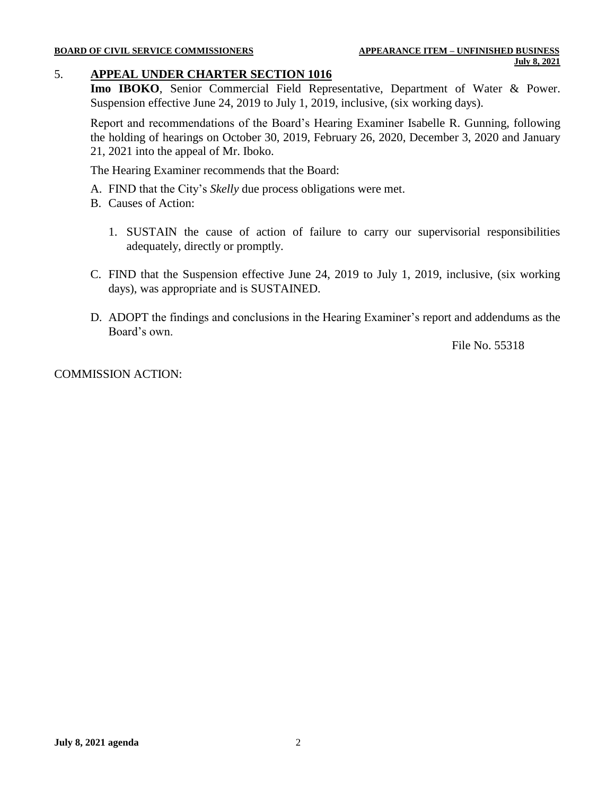#### **BOARD OF CIVIL SERVICE COMMISSIONERS APPEARANCE ITEM – UNFINISHED BUSINESS**

# 5. **APPEAL UNDER CHARTER SECTION 1016**

**Imo IBOKO**, Senior Commercial Field Representative, Department of Water & Power. Suspension effective June 24, 2019 to July 1, 2019, inclusive, (six working days).

Report and recommendations of the Board's Hearing Examiner Isabelle R. Gunning, following the holding of hearings on October 30, 2019, February 26, 2020, December 3, 2020 and January 21, 2021 into the appeal of Mr. Iboko.

The Hearing Examiner recommends that the Board:

- A. FIND that the City's *Skelly* due process obligations were met.
- B. Causes of Action:
	- 1. SUSTAIN the cause of action of failure to carry our supervisorial responsibilities adequately, directly or promptly.
- C. FIND that the Suspension effective June 24, 2019 to July 1, 2019, inclusive, (six working days), was appropriate and is SUSTAINED.
- D. ADOPT the findings and conclusions in the Hearing Examiner's report and addendums as the Board's own.

File No. 55318

COMMISSION ACTION: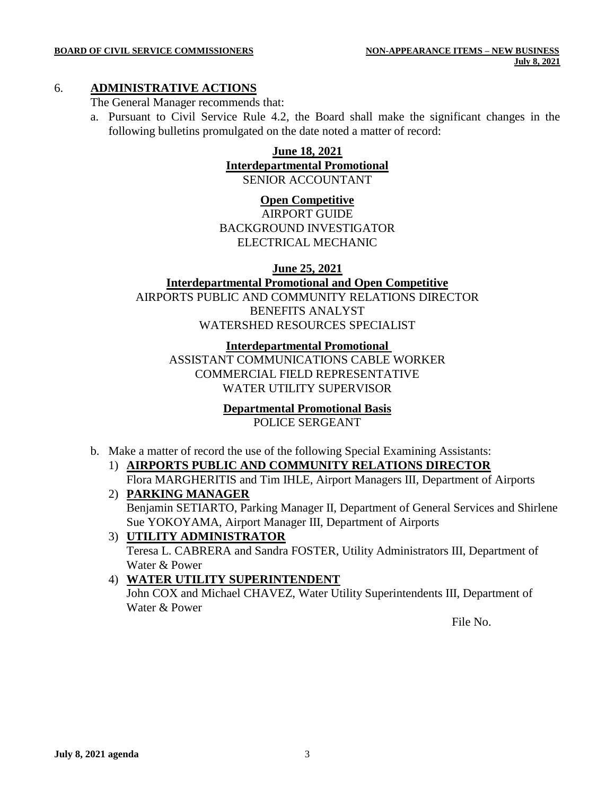#### 6. **ADMINISTRATIVE ACTIONS**

The General Manager recommends that:

a. Pursuant to Civil Service Rule 4.2, the Board shall make the significant changes in the following bulletins promulgated on the date noted a matter of record:

#### **June 18, 2021 Interdepartmental Promotional** SENIOR ACCOUNTANT

#### **Open Competitive**

AIRPORT GUIDE BACKGROUND INVESTIGATOR ELECTRICAL MECHANIC

#### **June 25, 2021**

**Interdepartmental Promotional and Open Competitive** AIRPORTS PUBLIC AND COMMUNITY RELATIONS DIRECTOR BENEFITS ANALYST WATERSHED RESOURCES SPECIALIST

**Interdepartmental Promotional**  ASSISTANT COMMUNICATIONS CABLE WORKER COMMERCIAL FIELD REPRESENTATIVE WATER UTILITY SUPERVISOR

### **Departmental Promotional Basis**

POLICE SERGEANT

- b. Make a matter of record the use of the following Special Examining Assistants:
	- 1) **AIRPORTS PUBLIC AND COMMUNITY RELATIONS DIRECTOR** Flora MARGHERITIS and Tim IHLE, Airport Managers III, Department of Airports
	- 2) **PARKING MANAGER** Benjamin SETIARTO, Parking Manager II, Department of General Services and Shirlene Sue YOKOYAMA, Airport Manager III, Department of Airports
	- 3) **UTILITY ADMINISTRATOR** Teresa L. CABRERA and Sandra FOSTER, Utility Administrators III, Department of Water & Power

### 4) **WATER UTILITY SUPERINTENDENT**

John COX and Michael CHAVEZ, Water Utility Superintendents III, Department of Water & Power

File No.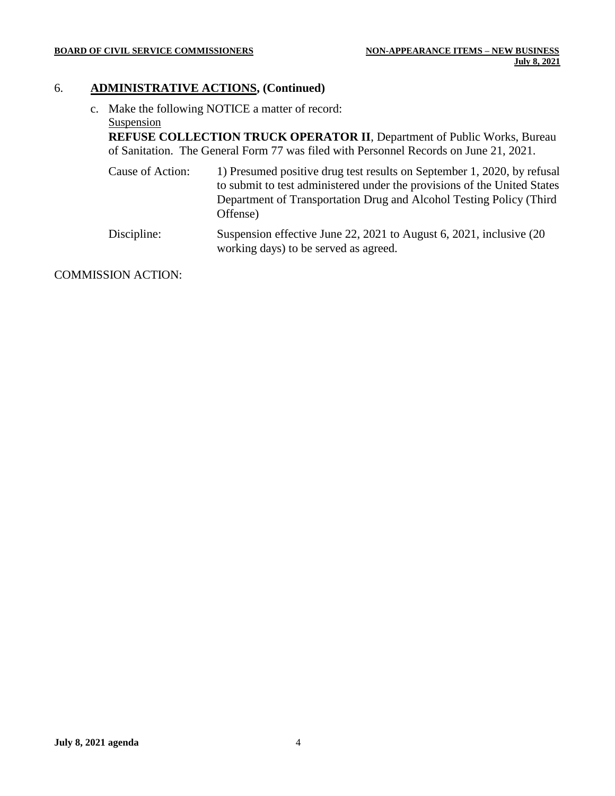#### **BOARD OF CIVIL SERVICE COMMISSIONERS NON-APPEARANCE ITEMS – NEW BUSINESS**

### 6. **ADMINISTRATIVE ACTIONS, (Continued)**

c. Make the following NOTICE a matter of record: **Suspension** 

**REFUSE COLLECTION TRUCK OPERATOR II**, Department of Public Works, Bureau of Sanitation. The General Form 77 was filed with Personnel Records on June 21, 2021.

- Cause of Action: 1) Presumed positive drug test results on September 1, 2020, by refusal to submit to test administered under the provisions of the United States Department of Transportation Drug and Alcohol Testing Policy (Third Offense)
- Discipline: Suspension effective June 22, 2021 to August 6, 2021, inclusive (20 working days) to be served as agreed.

COMMISSION ACTION: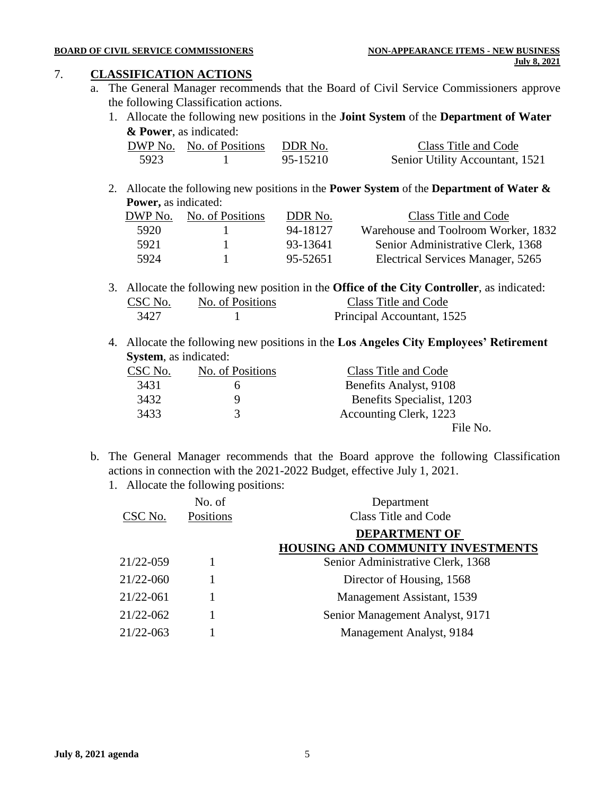#### 7. **CLASSIFICATION ACTIONS**

- a. The General Manager recommends that the Board of Civil Service Commissioners approve the following Classification actions.
	- 1. Allocate the following new positions in the **Joint System** of the **Department of Water & Power**, as indicated:

|      | DWP No. No. of Positions | DDR No.  | Class Title and Code            |
|------|--------------------------|----------|---------------------------------|
| 5923 |                          | 95-15210 | Senior Utility Accountant, 1521 |

2. Allocate the following new positions in the **Power System** of the **Department of Water & Power,** as indicated:

| DWP No. | No. of Positions | DDR No.  | Class Title and Code                |
|---------|------------------|----------|-------------------------------------|
| 5920    |                  | 94-18127 | Warehouse and Toolroom Worker, 1832 |
| 5921    |                  | 93-13641 | Senior Administrative Clerk, 1368   |
| 5924    |                  | 95-52651 | Electrical Services Manager, 5265   |

- 3. Allocate the following new position in the **Office of the City Controller**, as indicated: CSC No. No. of Positions Class Title and Code 3427 1 Principal Accountant, 1525
- 4. Allocate the following new positions in the **Los Angeles City Employees' Retirement System**, as indicated:

| CSC No. | No. of Positions | Class Title and Code      |
|---------|------------------|---------------------------|
| 3431    |                  | Benefits Analyst, 9108    |
| 3432    | Q                | Benefits Specialist, 1203 |
| 3433    | 3                | Accounting Clerk, 1223    |
|         |                  | File No.                  |

- b. The General Manager recommends that the Board approve the following Classification actions in connection with the 2021-2022 Budget, effective July 1, 2021.
	- 1. Allocate the following positions:

| CSC No.       | No. of<br>Positions | Department<br><b>Class Title and Code</b> |
|---------------|---------------------|-------------------------------------------|
|               |                     | <b>DEPARTMENT OF</b>                      |
|               |                     | <b>HOUSING AND COMMUNITY INVESTMENTS</b>  |
| 21/22-059     |                     | Senior Administrative Clerk, 1368         |
| 21/22-060     |                     | Director of Housing, 1568                 |
| $21/22 - 061$ |                     | Management Assistant, 1539                |
| 21/22-062     |                     | Senior Management Analyst, 9171           |
| 21/22-063     |                     | Management Analyst, 9184                  |